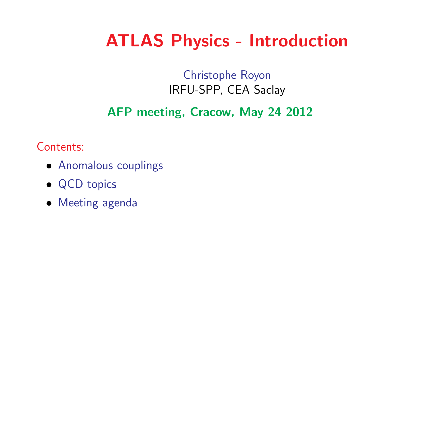# ATLAS Physics - Introduction

## Christophe RoyonIRFU-SPP, CEA Saclay

## AFP meeting, Cracow, May <sup>24</sup> <sup>2012</sup>

Contents:

- Anomalous couplings
- QCD topics
- Meeting agenda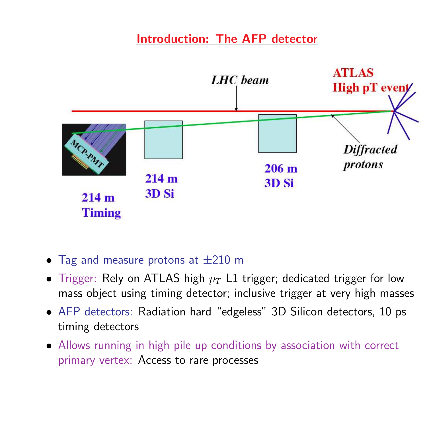### Introduction: The AFP detector



- $\bullet$  Tag and measure protons at  $\pm 210$  m
- $\bullet$  Trigger: Rely on ATLAS high  $p_T$  L1 trigger; dedicated trigger for low mass object using timing detector; inclusive trigger at very high masses
- AFP detectors: Radiation hard "edgeless" 3D Silicon detectors, <sup>10</sup> ps timing detectors
- Allows running in high pile up conditions by association with correct primary vertex: Access to rare processes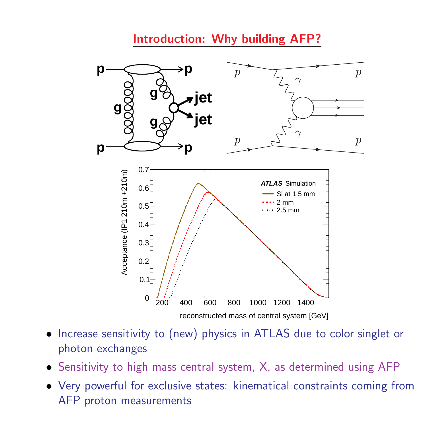### Introduction: Why building AFP?



- $\bullet$  Increase sensitivity to (new) physics in ATLAS due to color singlet or photon exchanges
- Sensitivity to high mass central system, X, as determined using AFP
- Very powerful for exclusive states: kinematical constraints coming fromAFP proton measurements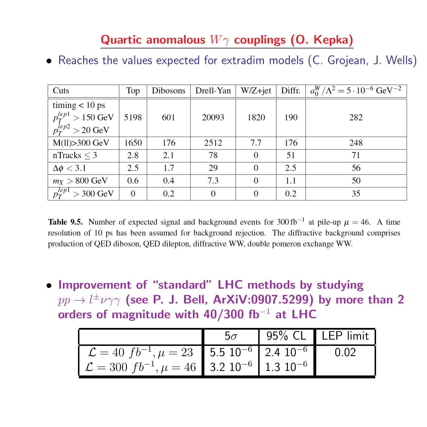## Quartic anomalous  $W\gamma$  couplings (O. Kepka)

• Reaches the values expected for extradim models (C. Grojean, J. Wells)

| Cuts                                    | Top      | Dibosons | Drell-Yan      | W/Z+jet  | Diffr. | $a_0^W/\Lambda^2 = 5 \cdot 10^{-6} \text{ GeV}^{-2}$ |
|-----------------------------------------|----------|----------|----------------|----------|--------|------------------------------------------------------|
| $\text{timing} < 10 \text{ ps}$         |          |          |                |          |        |                                                      |
| $p_T^{lep1} > 150$ GeV                  | 5198     | 601      | 20093          | 1820     | 190    | 282                                                  |
| $p_T^{\overline{I}ep2} > 20~\text{GeV}$ |          |          |                |          |        |                                                      |
| $M(11) > 300$ GeV                       | 1650     | 176      | 2512           | 7.7      | 176    | 248                                                  |
| nTracks $\leq$ 3                        | 2.8      | 2.1      | 78             | $\Omega$ | 51     | 71                                                   |
| $\Delta\phi < 3.1$                      | 2.5      | 1.7      | 29             | $\Omega$ | 2.5    | 56                                                   |
| $m_X > 800$ GeV                         | 0.6      | 0.4      | 7.3            | $\Omega$ | 1.1    | 50                                                   |
| $p_T^{lep1} > 300 \text{ GeV}$          | $\theta$ | 0.2      | $\overline{0}$ | $\theta$ | 0.2    | 35                                                   |

**Table 9.5.** Number of expected signal and background events for 300 fb<sup>-1</sup> at pile-up  $\mu = 46$ . A time resolution of 10 ps has been assumed for background rejection. The diffractive background comprises production of QED diboson, QED dilepton, diffractive WW, double pomeron exchange WW.

• Improvement of "standard" LHC methods by studying $pp \rightarrow l^{\pm} \nu \gamma \gamma$  (see P. J. Bell, ArXiV:0907.5299) by more than 2<br>orders of magnitude with 40/300 fb<sup>-1</sup> at LHC orders of magnitude with 40/300 fb−<sup>1</sup> at LHC

|                                                                                                                                                                         | 5 $\sigma$ | $\vert$ 95% CL LEP limit |  |
|-------------------------------------------------------------------------------------------------------------------------------------------------------------------------|------------|--------------------------|--|
| $\mathcal{L} = 40 f b^{-1}, \mu = 23$ 5.5 10 <sup>-6</sup> 2.4 10 <sup>-6</sup><br>$\mathcal{L} = 300 \left( f b^{-1} \right)$ , $\mu = 46$ 3.2 $10^{-6}$ 1.3 $10^{-6}$ |            |                          |  |
|                                                                                                                                                                         |            |                          |  |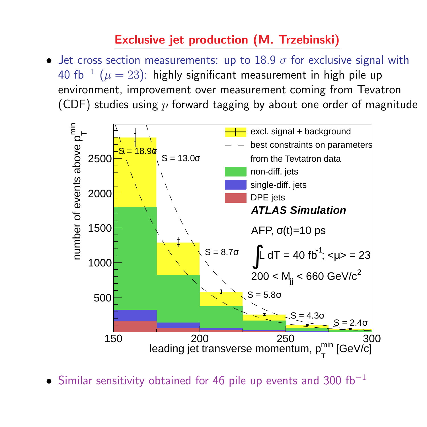## Exclusive jet production (M. Trzebinski)

• Jet cross section measurements: up to  $18.9 \sigma$  for exclusive signal with <sup>40</sup> fb− environment, improvement over measurement coming from Tevatron1 $\mu^1$   $(\mu=23)$ : highly significant measurement in high pile up (CDF) studies using  $\bar{p}$  forward tagging by about one order of magnitude



• Similar sensitivity obtained for 46 pile up events and 300 fb<sup>-1</sup>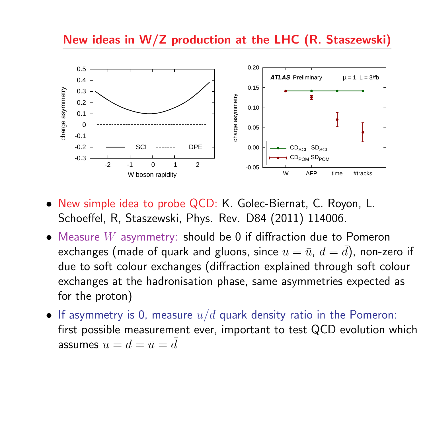#### New ideas in W/Z production at the LHC (R. Staszewski)



- New simple idea to probe QCD: K. Golec-Biernat, C. Royon, L. Schoeffel, R, Staszewski, Phys. Rev. D84 (2011) 114006.
- Measure  $W$  asymmetry: should be 0 if diffraction due to Pomeron<br>exchanges (made of quark and gluons, since  $u = \bar{u}$ ,  $d = \bar{d}$ ), non ze exchanges (made of quark and gluons, since  $u=\bar{u},\ d=\frac{1}{2}$  due to soft colour exchanges (diffraction explained through soft colour  $\bar{d})$ , non-zero if exchanges at the hadronisation phase, same asymmetries expected as for the proton)
- $\bullet\,$  If asymmetry is 0, measure  $u/d$  quark density ratio in the Pomeron: first possible measurement ever, important to test QCD evolution which assumes  $u=d = \bar{u}=$  $\bar{d}$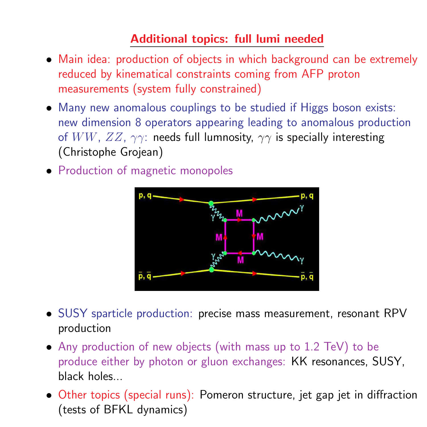## Additional topics: full lumi needed

- Main idea: production of objects in which background can be extremely reduced by kinematical constraints coming from AFP protonmeasurements (system fully constrained)
- Many new anomalous couplings to be studied if Higgs boson exists: new dimension <sup>8</sup> operators appearing leading to anomalous productionof  $WW,\,ZZ,\,\gamma\gamma$ : needs full lumnosity,  $\gamma\gamma$  is specially interesting (Christophe Grojean)
- Production of magnetic monopoles



- SUSY sparticle production: precise mass measurement, resonant RPVproduction
- Any production of new objects (with mass up to 1.2 TeV) to be produce either by photon or <sup>g</sup>luon exchanges: KK resonances, SUSY, black holes...
- Other topics (special runs): Pomeron structure, jet gap jet in diffraction(tests of BFKL dynamics)